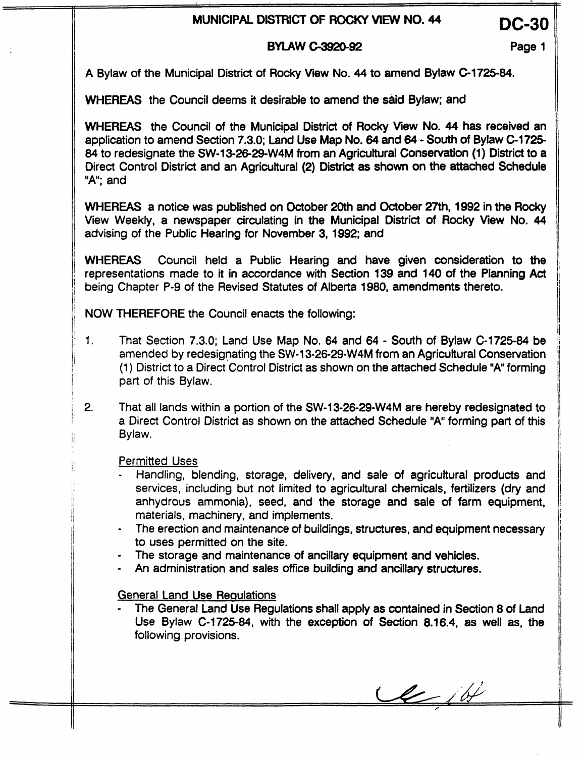# **MUNICIPAL DlSTRlCT OF ROCKY VIEW NO. 44** DC-30

### **BYLAW C-3920-92 Page 1**

A Bylaw of the Municipal District of Rocky **View** No. **44 to** amend Bylaw C-172584.

WHEREAS the Council deems it desirable to amend the said Bylaw; and

WHEREAS the Council of the Municipal District of Rocky View No. 44 has received an application to amend Section **7.3.0;** Land Use Map No. 64 and 64 - South of Bylaw **C-1725**  *84* to redesignate the **SW-13-26-29-W4M** from an Agricultural Consenration (1) District to a Direct Control District and an Agricuttural (2) District **as** shown **on** the attached Schedule "A"; and

WHEREAS a notice was published on October 20th and **October 27th,** 1992 in the Rocky View Weekly, a newspaper circulating in the Municipal District of Rocky **View No. 44**  advising of the Public Hearing for November **3,** 1992; and

WHEREAS Council held a Public Hearing and have given consideration to **the**  representations made to it in accordance with Section 139 and 140 of the Planning Act being Chapter P-9 of the Revised Statutes of Alberta 1980, amendments thereto.

NOW THEREFORE the Council enacts the following:

- 1. That Section 7.3.0; Land Use Map **No.** 64 and 64 - South of Bylaw **C-1725-84 be**  amended **by** redesignating the **SW-13-26-29-W4M** from an Agricultural Conservation (1) District to a Direct Control District as shown on the attached Schedule "A" forming part of this Bylaw.
- **2.**  That all lands within a portion of the SW-13-26-29-W4M are hereby redesignated to a Direct Control District as shown on the attached Schedule **"A"** forming part of this Bylaw.

Permitted Uses

- Handling, blending, storage, delivery, and sale of agricultural products and services, including but not limited to agricultural chemicals, fertilizers (dry and anhydrous ammonia), seed, **and** the storage **and** sale of farm equipment, materials, machinery, and implements.
- The erection and maintenance of buildings, structures, and equipment necessary to uses permitted on the site.
- The storage and maintenance of ancillary equipment and vehicles.
- An administration and sales office building and ancillary structures.

### General Land Use Requlations

- The General Land Use Regulations shall apply as contained in Section 8 of Land Use Bylaw **C-1725-84,** with the exception of Section 8.16.4, as well as, the following provisions.

 $\ell$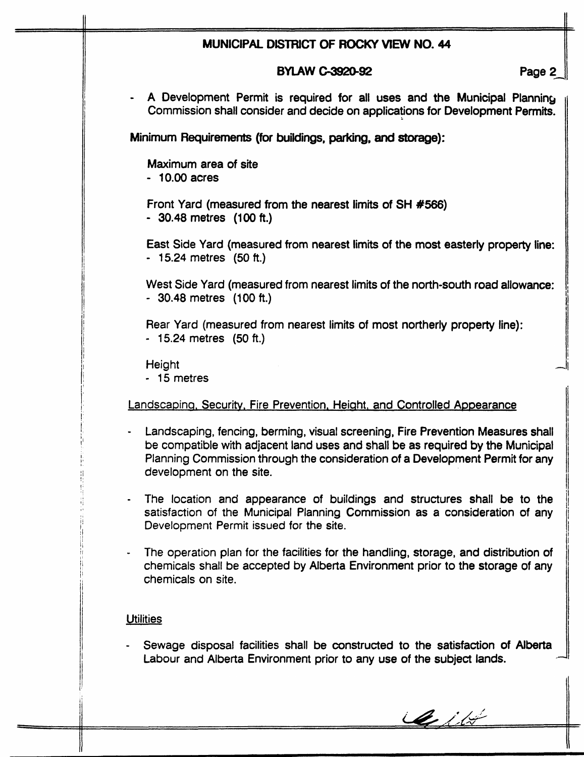| MUNICIPAL DISTRICT OF ROCKY VIEW NO. 44 |                                                                                                                                                                                                                                                                                 |  |
|-----------------------------------------|---------------------------------------------------------------------------------------------------------------------------------------------------------------------------------------------------------------------------------------------------------------------------------|--|
|                                         | <b>BYLAW C-3920-92</b><br>Page 2                                                                                                                                                                                                                                                |  |
|                                         | A Development Permit is required for all uses and the Municipal Planning<br>Commission shall consider and decide on applications for Development Permits.                                                                                                                       |  |
|                                         | Minimum Requirements (for buildings, parking, and storage):                                                                                                                                                                                                                     |  |
|                                         | Maximum area of site<br>$-10.00$ acres                                                                                                                                                                                                                                          |  |
|                                         | Front Yard (measured from the nearest limits of SH #566)<br>- 30.48 metres (100 ft.)                                                                                                                                                                                            |  |
|                                         | East Side Yard (measured from nearest limits of the most easterly property line:<br>- 15.24 metres (50 ft.)                                                                                                                                                                     |  |
|                                         | West Side Yard (measured from nearest limits of the north-south road allowance:<br>- 30.48 metres (100 ft.)                                                                                                                                                                     |  |
|                                         | Rear Yard (measured from nearest limits of most northerly property line):<br>$-15.24$ metres $(50 ft.)$                                                                                                                                                                         |  |
|                                         | Height<br>- 15 metres                                                                                                                                                                                                                                                           |  |
|                                         | Landscaping, Security, Fire Prevention, Height, and Controlled Appearance                                                                                                                                                                                                       |  |
|                                         | Landscaping, fencing, berming, visual screening, Fire Prevention Measures shall<br>be compatible with adjacent land uses and shall be as required by the Municipal<br>Planning Commission through the consideration of a Development Permit for any<br>development on the site. |  |
| $\bullet$                               | The location and appearance of buildings and structures shall be to the<br>satisfaction of the Municipal Planning Commission as a consideration of any<br>Development Permit issued for the site.                                                                               |  |
|                                         | The operation plan for the facilities for the handling, storage, and distribution of<br>chemicals shall be accepted by Alberta Environment prior to the storage of any<br>chemicals on site.                                                                                    |  |
|                                         | <b>Utilities</b>                                                                                                                                                                                                                                                                |  |
|                                         | Sewage disposal facilities shall be constructed to the satisfaction of Alberta<br>Labour and Alberta Environment prior to any use of the subject lands.                                                                                                                         |  |

Cité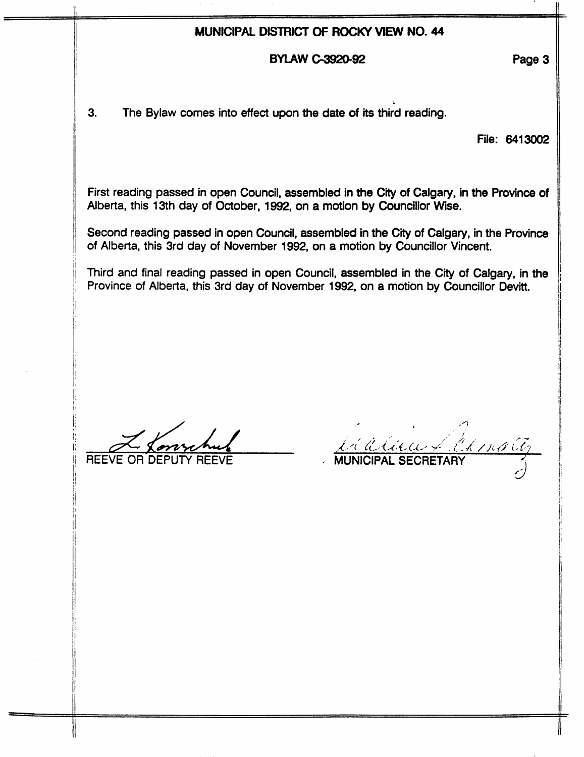## **MUNICIPAL DISTRICT OF ROCKY VIEW NO. 44**

#### **BYLAW C-3920-92 Page 3**

**3.** The Bylaw comes into effect upon the date of its third reading.

File: **6413002** 

First reading passed in open Council, assembled in the *City* of Calgary, in the Province of Alberta, this 13th day of October, **1992,** on a motion by Councillor **Wise.** 

Second reading passed in open Council, assembled in the City of Calgary, in the Province of Alberta, this 3rd day of November 1992, on a motion by Councillor Vincent.

Third and final reading passed in open Council, assembled in the City of Calgary, in the Province of Alberta, this 3rd day of November 1992, on a motion by Councillor **Devitt.** 

- *'a*  REEVE OR DE

<u>LE CELECE CHANACE</u>